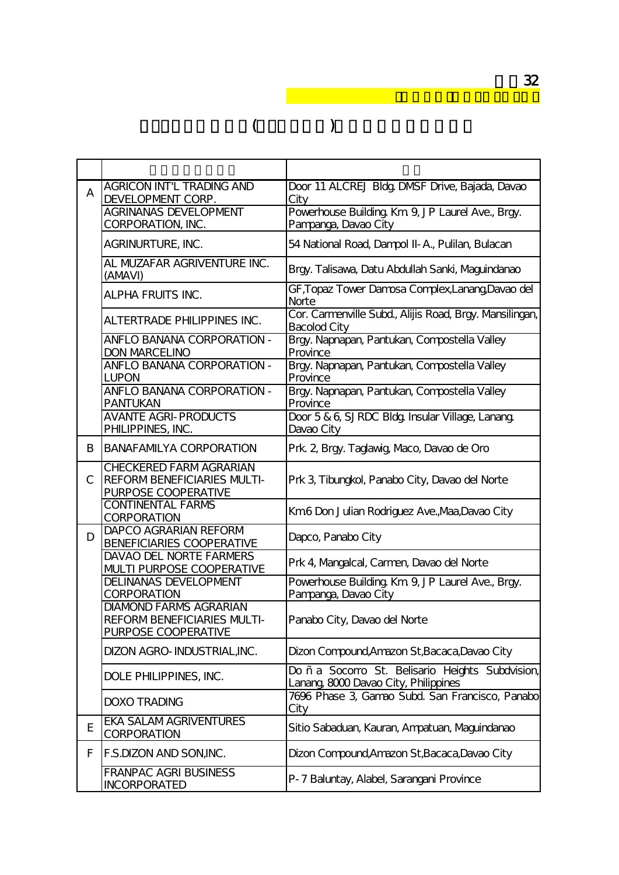| A             | <b>AGRICON INT'L TRADING AND</b><br>DEVELOPMENT CORP.<br><b>AGRINANAS DEVELOPMENT</b>      | Door 11 ALCREJ Bldg, DMSF Drive, Bajada, Davao<br>City<br>Powerhouse Building Km 9, JP Laurel Ave., Brgy. |
|---------------|--------------------------------------------------------------------------------------------|-----------------------------------------------------------------------------------------------------------|
|               | CORPORATION, INC.                                                                          | Pampanga, Davao City                                                                                      |
|               | AGRINURTURE, INC.                                                                          | 54 National Road, Dampol II- A., Pulilan, Bulacan                                                         |
|               | AL MUZAFAR AGRIVENTURE INC.<br>(AMAVI)                                                     | Brgy. Talisawa, Datu Abdullah Sanki, Maguindanao                                                          |
|               | <b>ALPHA FRUITS INC.</b>                                                                   | GF,Topaz Tower Damosa Complex,Lanang,Davao del<br>Norte                                                   |
|               | <b>ALTERTRADE PHILIPPINES INC.</b>                                                         | Cor. Carmenville Subd., Alijis Road, Brgy. Mansilingan,<br><b>Bacolod City</b>                            |
|               | ANFLO BANANA CORPORATION -<br><b>DON MARCELINO</b>                                         | Brgy. Napnapan, Pantukan, Compostella Valley<br>Province                                                  |
|               | ANFLO BANANA CORPORATION -<br>LUPON                                                        | Brgy. Napnapan, Pantukan, Compostella Valley<br>Province                                                  |
|               | <b>ANFLO BANANA CORPORATION -</b><br><b>PANTUKAN</b>                                       | Brgy. Napnapan, Pantukan, Compostella Valley<br>Province                                                  |
|               | <b>AVANTE AGRI- PRODUCTS</b><br>PHILIPPINES, INC.                                          | Door 5 & 6, SJRDC Bldg. Insular Village, Lanang.<br>Davao City                                            |
| B             | <b>BANAFAMILYA CORPORATION</b>                                                             | Prk. 2, Brgy. Taglawig Maco, Davao de Oro                                                                 |
| $\mathcal{C}$ | <b>CHECKERED FARM AGRARIAN</b><br><b>REFORMBENEFICIARIES MULTI-</b><br>PURPOSE COOPERATIVE | Prk 3, Tibungkol, Panabo City, Davao del Norte                                                            |
|               | <b>CONTINENTAL FARMS</b><br><b>CORPORATION</b>                                             | Km6 Don Julian Rodriguez Ave., Maa, Davao City                                                            |
| D             | DAPCO AGRARIAN REFORM<br><b>BENEFICIARIES COOPERATIVE</b>                                  | Dapco, Panabo City                                                                                        |
|               | <b>DAVAO DEL NORTE FARMERS</b><br><b>MJLTI PURPOSE COOPERATIVE</b>                         | Prk 4, Mangalcal, Carmen, Davao del Norte                                                                 |
|               | DELINANAS DEVELOPMENT<br><b>CORPORATION</b>                                                | Powerhouse Building Km 9, JP Laurel Ave., Brgy.<br>Pampanga, Davao City                                   |
|               | <b>DIAMOND FARMS AGRARIAN</b><br>REFORMBENEFICIARIES MULTI-<br>PURPOSE COOPERATIVE         | Panabo City, Davao del Norte                                                                              |
|               | DIZON AGRO- INDUSTRIALINC.                                                                 | Dizon Compound, Amazon St, Bacaca, Davao City                                                             |
|               | DOLE PHILIPPINES, INC.                                                                     | Do ñ a Socorro St. Belisario Heights Subdvision,<br>Lanang, 8000 Davao City, Philippines                  |
|               | <b>DOXO TRADING</b>                                                                        | 7696 Phase 3, Gamao Subd. San Francisco, Panabo<br>City                                                   |
| E             | <b>EKA SALAM AGRIVENTURES</b><br><b>CORPORATION</b>                                        | Sitio Sabaduan, Kauran, Ampatuan, Maguindanao                                                             |
| F             | F.S.DIZON AND SON, INC.                                                                    | Dizon Compound, Amazon St, Bacaca, Davao City                                                             |
|               | FRANPAC AGRI BUSINESS<br><b>INCORPORATED</b>                                               | P-7 Baluntay, Alabel, Sarangani Province                                                                  |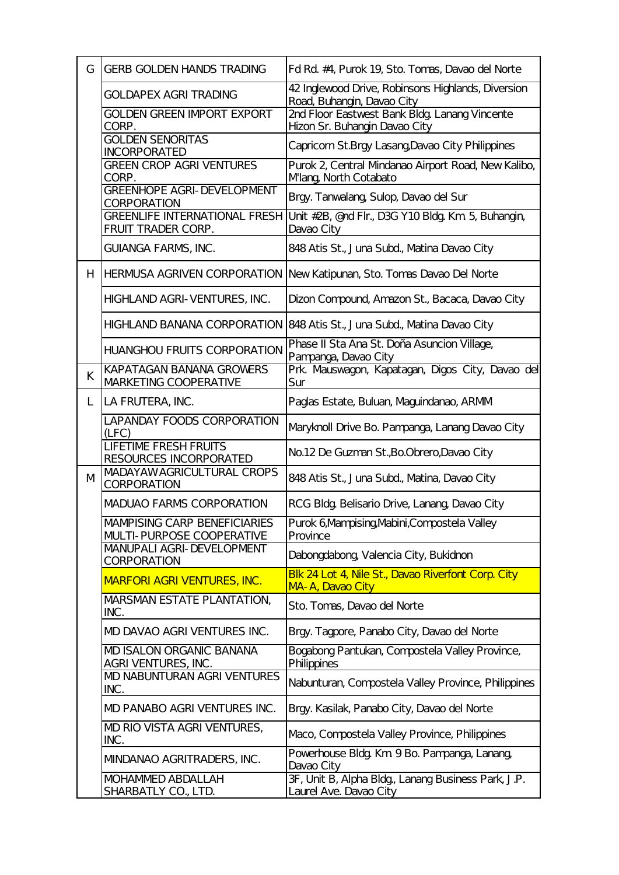| $\mathsf{G}$ | <b>GERB GOLDEN HANDS TRADING</b>                                        | Fd Rd #4, Purok 19, Sto. Tomas, Davao del Norte                                               |
|--------------|-------------------------------------------------------------------------|-----------------------------------------------------------------------------------------------|
|              | <b>GOLDAPEX AGRI TRADING</b>                                            | 42 Inglewood Drive, Robinsons Highlands, Diversion<br><u>Road, Buhangin, Davao City</u>       |
|              | <b>GOLDEN GREEN IMPORT EXPORT</b><br>CORP.                              | 2nd Floor Eastwest Bank Bldg Lanang Vincente<br>Hizon Sr. Buhangin Davao City                 |
|              | <b>GOLDEN SENORITAS</b><br><b>INCORPORATED</b>                          | Capricorn St.Brgy Lasang Davao City Philippines                                               |
|              | <b>GREEN CROP AGRI VENTURES</b><br>CORP.                                | Purok 2, Central Mindanao Airport Road, New Kalibo,<br>Mlang North Cotabato                   |
|              | <b>GREENHOPE AGRI- DEVELOPMENT</b><br><b>CORPORATION</b>                | Brgy. Tanwalang, Sulop, Davao del Sur                                                         |
|              | FRUIT TRADER CORP.                                                      | GREENLIFE INTERNATIONAL FRESH Unit #2B, @nd Flr., D3G Y10 Bldg, Km 5, Buhangin,<br>Davao City |
|              | GUIANGA FARMS, INC.                                                     | 848 Atis St., Juna Subd., Matina Davao City                                                   |
| H            |                                                                         | HERMUSA AGRIVEN CORPORATION New Katipunan, Sto. Tomas Davao Del Norte                         |
|              | HIGHLAND AGRI-VENTURES, INC.                                            | Dizon Compound, Amazon St., Bacaca, Davao City                                                |
|              |                                                                         | HIGHLAND BANANA CORPORATION 848 Atis St., Juna Subd, Matina Davao City                        |
|              | <b>HUANGHOU FRUITS CORPORATION</b>                                      | Phase II Sta Ana St. Doña Asuncion Village,<br>Pampanga, Davao City                           |
| K            | KAPATAGAN BANANA GROWERS<br>MARKETING COOPERATIVE                       | Prk. Mauswagon, Kapatagan, Digos City, Davao del<br>Sur                                       |
| L            | LA FRUTERA, INC.                                                        | Paglas Estate, Buluan, Maguindanao, ARMM                                                      |
|              | <b>LAPANDAY FOODS CORPORATION</b><br>(LFC)                              | Maryknoll Drive Bo. Pampanga, Lanang Davao City                                               |
|              | <b>LIFETIME FRESH FRUITS</b><br>RESOURCES INCORPORATED                  | No.12 De Guzman St., Bo. Obrero, Davao City                                                   |
| M            | MADAYAWAGRICULTURAL CROPS<br><b>CORPORATION</b>                         | 848 Atis St., Juna Subd, Matina, Davao City                                                   |
|              | <b>MADUAO FARMS CORPORATION</b>                                         | RCG Bldg Belisario Drive, Lanang Davao City                                                   |
|              | <b>MAMPISING CARP BENEFICIARIES</b><br><b>MJLTI-PURPOSE COOPERATIVE</b> | Purok 6,Mampising Mabini,Compostela Valley<br>Province                                        |
|              | MANUPALI AGRI- DEVELOPMENT<br><b>CORPORATION</b>                        | Dabongdabong Valencia City, Bukidnon                                                          |
|              | <b>MARFORI AGRI VENTURES, INC.</b>                                      | Blk 24 Lot 4, Nile St., Davao Riverfont Corp. City<br>MA-A, Davao City                        |
|              | MARSMAN ESTATE PLANTATION,<br>INC.                                      | Sto. Tomas, Davao del Norte                                                                   |
|              | MD DAVAO AGRI VENTURES INC.                                             | Brgy. Tagpore, Panabo City, Davao del Norte                                                   |
|              | MD ISALON ORGANIC BANANA<br>AGRI VENTURES, INC.                         | Bogabong Pantukan, Compostela Valley Province,<br>Philippines                                 |
|              | MD NABUNTURAN AGRI VENTURES<br>INC.                                     | Nabunturan, Compostela Valley Province, Philippines                                           |
|              | MD PANABO AGRI VENTURES INC.                                            | Brgy. Kasilak, Panabo City, Davao del Norte                                                   |
|              | MD RIO VISTA AGRI VENTURES,<br>INC.                                     | Maco, Compostela Valley Province, Philippines                                                 |
|              | MINDANAO AGRITRADERS, INC.                                              | Powerhouse Bldg. Km 9 Bo. Pampanga, Lanang,<br>Davao City                                     |
|              | <b>MOHAMMED ABDALLAH</b><br><u>SHARBATLY CO., LTD.</u>                  | 3F, Unit B, Alpha Bldg, Lanang Business Park, J.P.<br>Laurel Ave. Davao City                  |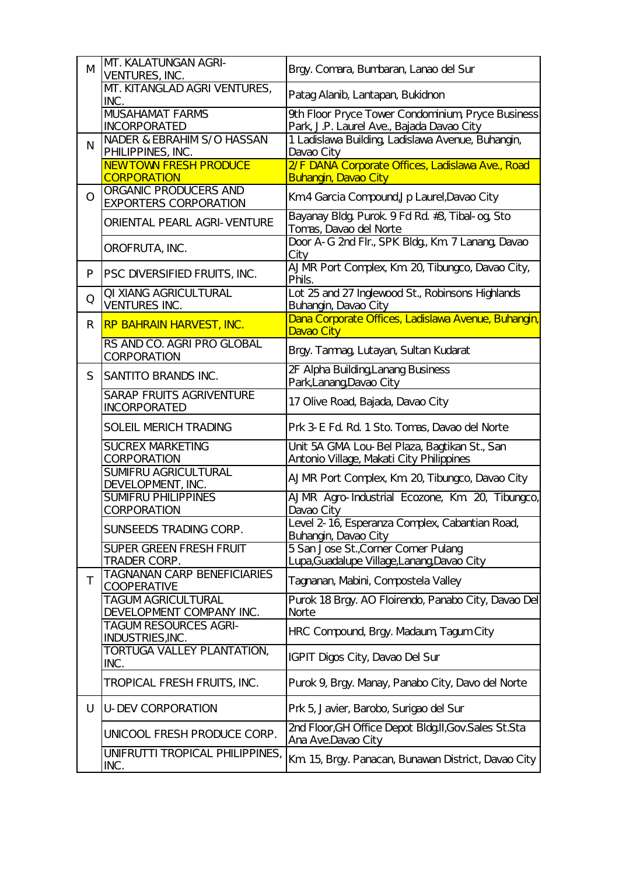| Patag Alanib, Lantapan, Bukidnon<br>9th Floor Pryce Tower Condominium, Pryce Business<br>Park, J.P. Laurel Ave., Bajada Davao City<br>1 Ladislawa Building, Ladislawa Avenue, Buhangin,<br>2/F DANA Corporate Offices, Ladislawa Ave., Road |
|---------------------------------------------------------------------------------------------------------------------------------------------------------------------------------------------------------------------------------------------|
|                                                                                                                                                                                                                                             |
|                                                                                                                                                                                                                                             |
|                                                                                                                                                                                                                                             |
|                                                                                                                                                                                                                                             |
|                                                                                                                                                                                                                                             |
| Km4 Garcia Compound, Jp Laurel, Davao City                                                                                                                                                                                                  |
| Bayanay Bldg Purok 9 Fd Rd #3, Tibal- og Sto                                                                                                                                                                                                |
| Door A-G 2nd Flr., SPK Bldg, Km 7 Lanang, Davao                                                                                                                                                                                             |
| AJMR Port Complex, Km 20, Tibungco, Davao City,                                                                                                                                                                                             |
| Lot 25 and 27 Inglewood St., Robinsons Highlands                                                                                                                                                                                            |
| <u> Dana Corporate Offices, Ladislawa Avenue, Buhangin,</u>                                                                                                                                                                                 |
| Brgy. Tamnag, Lutayan, Sultan Kudarat                                                                                                                                                                                                       |
| 2F Alpha Building Lanang Business                                                                                                                                                                                                           |
| 17 Olive Road, Bajada, Davao City                                                                                                                                                                                                           |
| Prk 3 E Fd Rd. 1 Sto. Tomas, Davao del Norte                                                                                                                                                                                                |
| Unit 5A GMA Lou- Bel Plaza, Bagtikan St., San                                                                                                                                                                                               |
| Antonio Village, Makati City Philippines                                                                                                                                                                                                    |
| AJMR Port Complex, Km 20, Tibungco, Davao City                                                                                                                                                                                              |
| AJMR Agro-Industrial Ecozone, Km 20, Tibungco,                                                                                                                                                                                              |
| Level 2-16, Esperanza Complex, Cabantian Road,                                                                                                                                                                                              |
| 5 San Jose St., Corner Corner Pulang                                                                                                                                                                                                        |
| Lupa, Guadalupe Village, Lanang Davao City<br>Tagnanan, Mabini, Compostela Valley                                                                                                                                                           |
| Purok 18 Brgy. AO Floirendo, Panabo City, Davao Del                                                                                                                                                                                         |
|                                                                                                                                                                                                                                             |
| HRC Compound, Brgy. Madaum, Tagum City                                                                                                                                                                                                      |
|                                                                                                                                                                                                                                             |
| Purok 9, Brgy. Manay, Panabo City, Davo del Norte                                                                                                                                                                                           |
| Prk 5, Javier, Barobo, Surigao del Sur                                                                                                                                                                                                      |
| 2nd Floor, GH Office Depot BldgII, Gov. Sales St. Sta                                                                                                                                                                                       |
|                                                                                                                                                                                                                                             |